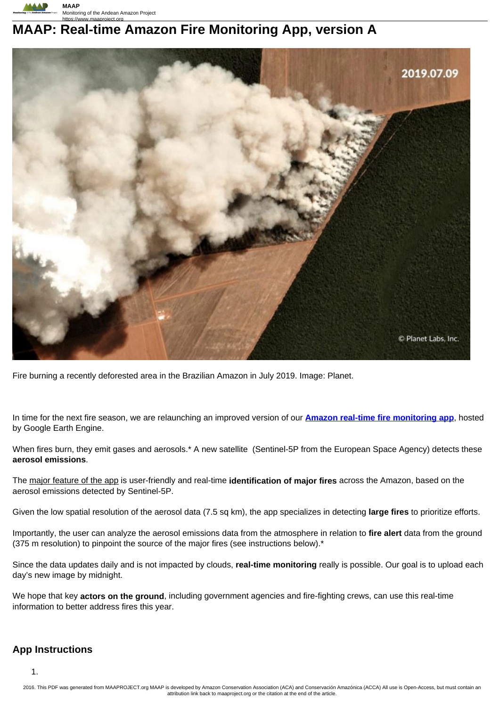

# **MAAP: Real-time Amazon Fire Monitoring App, version A**



Fire burning a recently deforested area in the Brazilian Amazon in July 2019. Image: Planet.

In time for the next fire season, we are relaunching an improved version of our **Amazon real-time fire monitoring app**, hosted by Google Earth Engine.

When fires burn, they emit gases and aerosols.\* A new satellite (Sentinel-5P from the European Space Agency) detects these **aerosol emissions**.

The major feature of the app is user-friendly and real-time **identification of major fires** across the Amazon, based on the aerosol emissions detected by Sentinel-5P.

Given the low spatial resolution of the aerosol data (7.5 sq km), the app specializes in detecting **large fires** to prioritize efforts.

Importantly, the user can analyze the aerosol emissions data from the atmosphere in relation to **fire alert** data from the ground (375 m resolution) to pinpoint the source of the major fires (see instructions below).\*

Since the data updates daily and is not impacted by clouds, **real-time monitoring** really is possible. Our goal is to upload each day's new image by midnight.

We hope that key **actors on the ground**, including government agencies and fire-fighting crews, can use this real-time information to better address fires this year.

# **App Instructions**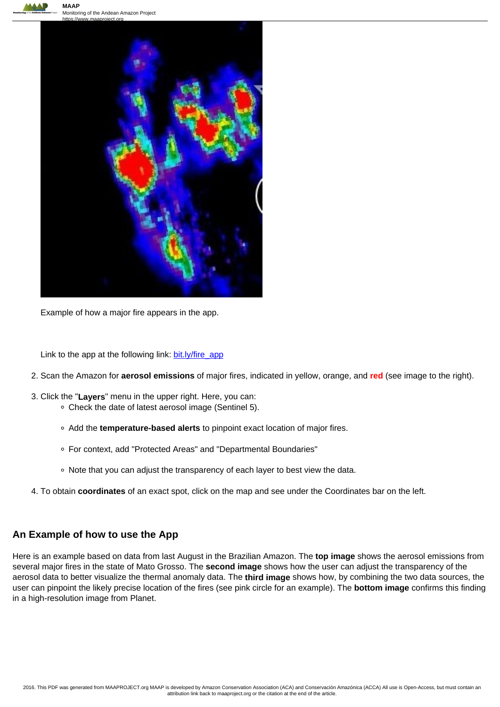

Monitoring of the Andean Amazon Project



Example of how a major fire appears in the app.

Link to the app at the following link: bit.ly/fire\_app

- 2. Scan the Amazon for **aerosol emissions** of major fires, indicated in yellow, orange, and **red** (see image to the right).
- 3. Click the "**Layers**" menu in the upper right. Here, you can:
	- Check the date of latest aerosol image (Sentinel 5).
	- Add the **temperature-based alerts** to pinpoint exact location of major fires.
	- For context, add "Protected Areas" and "Departmental Boundaries"
	- Note that you can adjust the transparency of each layer to best view the data.
- 4. To obtain **coordinates** of an exact spot, click on the map and see under the Coordinates bar on the left.

## **An Example of how to use the App**

Here is an example based on data from last August in the Brazilian Amazon. The **top image** shows the aerosol emissions from several major fires in the state of Mato Grosso. The **second image** shows how the user can adjust the transparency of the aerosol data to better visualize the thermal anomaly data. The **third image** shows how, by combining the two data sources, the user can pinpoint the likely precise location of the fires (see pink circle for an example). The **bottom image** confirms this finding in a high-resolution image from Planet.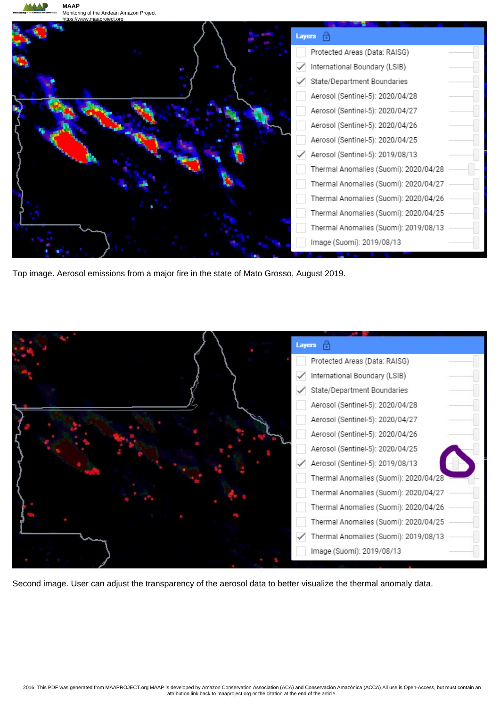

Top image. Aerosol emissions from a major fire in the state of Mato Grosso, August 2019.



Second image. User can adjust the transparency of the aerosol data to better visualize the thermal anomaly data.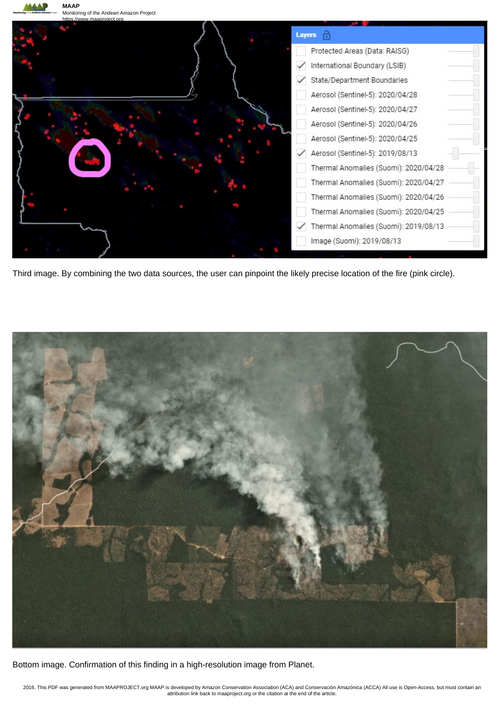

Third image. By combining the two data sources, the user can pinpoint the likely precise location of the fire (pink circle).



Bottom image. Confirmation of this finding in a high-resolution image from Planet.